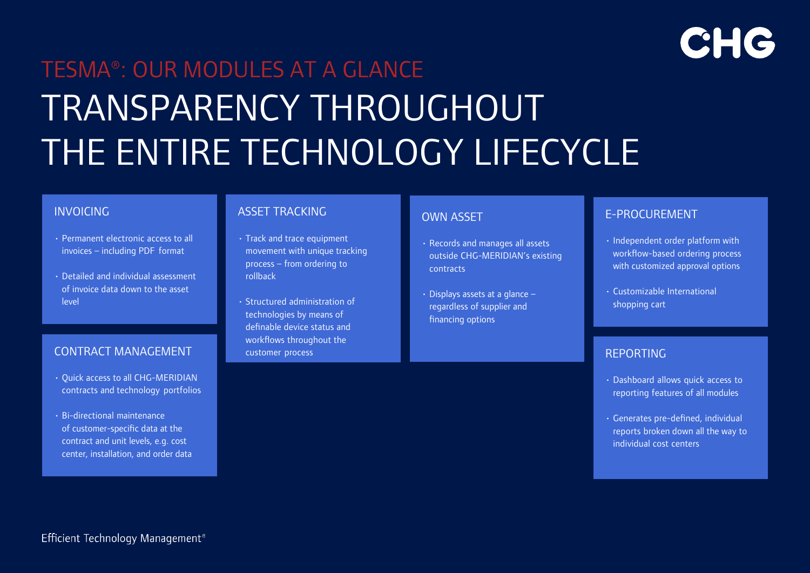# CHG

# TESMA®: OUR MODULES AT A GLANCE TRANSPARENCY THROUGHOUT THE ENTIRE TECHNOLOGY LIFECYCLE

### INVOICING

- Permanent electronic access to all invoices – including PDF format
- Detailed and individual assessment of invoice data down to the asset level

## CONTRACT MANAGEMENT

- Quick access to all CHG-MERIDIAN contracts and technology portfolios
- Bi-directional maintenance of customer-specific data at the contract and unit levels, e.g. cost center, installation, and order data

### ASSET TRACKING

- Track and trace equipment movement with unique tracking process – from ordering to rollback
- Structured administration of technologies by means of definable device status and workflows throughout the customer process

### OWN ASSET

- Records and manages all assets outside CHG-MERIDIAN's existing contracts
- Displays assets at a glance regardless of supplier and financing options

### E-PROCUREMENT

- Independent order platform with workflow-based ordering process with customized approval options
- Customizable International shopping cart

## REPORTING

- Dashboard allows quick access to reporting features of all modules
- Generates pre-defined, individual reports broken down all the way to individual cost centers